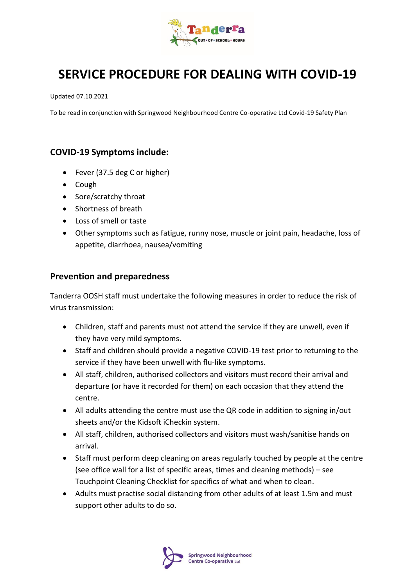

# **SERVICE PROCEDURE FOR DEALING WITH COVID-19**

Updated 07.10.2021

To be read in conjunction with Springwood Neighbourhood Centre Co-operative Ltd Covid-19 Safety Plan

### **COVID-19 Symptoms include:**

- Fever (37.5 deg C or higher)
- Cough
- Sore/scratchy throat
- Shortness of breath
- Loss of smell or taste
- Other symptoms such as fatigue, runny nose, muscle or joint pain, headache, loss of appetite, diarrhoea, nausea/vomiting

#### **Prevention and preparedness**

Tanderra OOSH staff must undertake the following measures in order to reduce the risk of virus transmission:

- Children, staff and parents must not attend the service if they are unwell, even if they have very mild symptoms.
- Staff and children should provide a negative COVID-19 test prior to returning to the service if they have been unwell with flu-like symptoms.
- All staff, children, authorised collectors and visitors must record their arrival and departure (or have it recorded for them) on each occasion that they attend the centre.
- All adults attending the centre must use the QR code in addition to signing in/out sheets and/or the Kidsoft iCheckin system.
- All staff, children, authorised collectors and visitors must wash/sanitise hands on arrival.
- Staff must perform deep cleaning on areas regularly touched by people at the centre (see office wall for a list of specific areas, times and cleaning methods) – see Touchpoint Cleaning Checklist for specifics of what and when to clean.
- Adults must practise social distancing from other adults of at least 1.5m and must support other adults to do so.

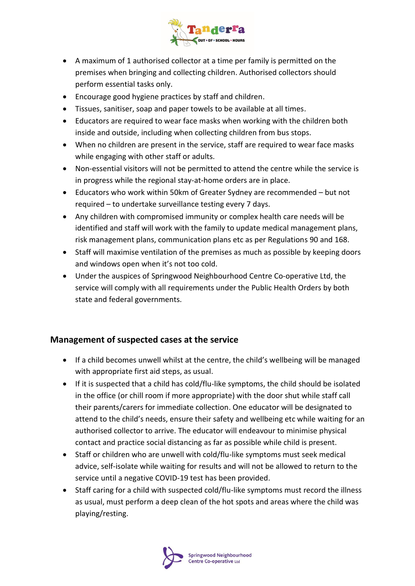

- A maximum of 1 authorised collector at a time per family is permitted on the premises when bringing and collecting children. Authorised collectors should perform essential tasks only.
- Encourage good hygiene practices by staff and children.
- Tissues, sanitiser, soap and paper towels to be available at all times.
- Educators are required to wear face masks when working with the children both inside and outside, including when collecting children from bus stops.
- When no children are present in the service, staff are required to wear face masks while engaging with other staff or adults.
- Non-essential visitors will not be permitted to attend the centre while the service is in progress while the regional stay-at-home orders are in place.
- Educators who work within 50km of Greater Sydney are recommended but not required – to undertake surveillance testing every 7 days.
- Any children with compromised immunity or complex health care needs will be identified and staff will work with the family to update medical management plans, risk management plans, communication plans etc as per Regulations 90 and 168.
- Staff will maximise ventilation of the premises as much as possible by keeping doors and windows open when it's not too cold.
- Under the auspices of Springwood Neighbourhood Centre Co-operative Ltd, the service will comply with all requirements under the Public Health Orders by both state and federal governments.

## **Management of suspected cases at the service**

- If a child becomes unwell whilst at the centre, the child's wellbeing will be managed with appropriate first aid steps, as usual.
- If it is suspected that a child has cold/flu-like symptoms, the child should be isolated in the office (or chill room if more appropriate) with the door shut while staff call their parents/carers for immediate collection. One educator will be designated to attend to the child's needs, ensure their safety and wellbeing etc while waiting for an authorised collector to arrive. The educator will endeavour to minimise physical contact and practice social distancing as far as possible while child is present.
- Staff or children who are unwell with cold/flu-like symptoms must seek medical advice, self-isolate while waiting for results and will not be allowed to return to the service until a negative COVID-19 test has been provided.
- Staff caring for a child with suspected cold/flu-like symptoms must record the illness as usual, must perform a deep clean of the hot spots and areas where the child was playing/resting.

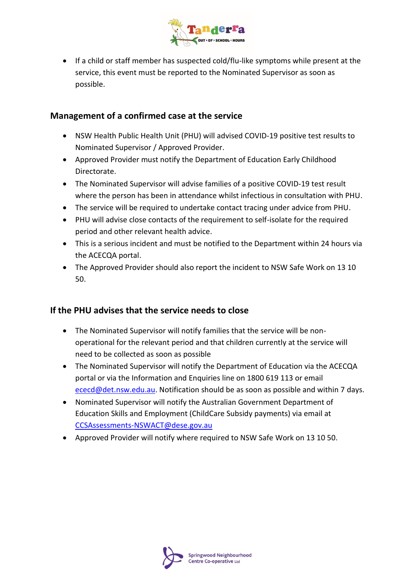

• If a child or staff member has suspected cold/flu-like symptoms while present at the service, this event must be reported to the Nominated Supervisor as soon as possible.

## **Management of a confirmed case at the service**

- NSW Health Public Health Unit (PHU) will advised COVID-19 positive test results to Nominated Supervisor / Approved Provider.
- Approved Provider must notify the Department of Education Early Childhood Directorate.
- The Nominated Supervisor will advise families of a positive COVID-19 test result where the person has been in attendance whilst infectious in consultation with PHU.
- The service will be required to undertake contact tracing under advice from PHU.
- PHU will advise close contacts of the requirement to self-isolate for the required period and other relevant health advice.
- This is a serious incident and must be notified to the Department within 24 hours via the ACECQA portal.
- The Approved Provider should also report the incident to NSW Safe Work on 13 10 50.

#### **If the PHU advises that the service needs to close**

- The Nominated Supervisor will notify families that the service will be nonoperational for the relevant period and that children currently at the service will need to be collected as soon as possible
- The Nominated Supervisor will notify the Department of Education via the ACECQA portal or via the Information and Enquiries line on 1800 619 113 or email [ececd@det.nsw.edu.au.](mailto:ececd@det.nsw.edu.au) Notification should be as soon as possible and within 7 days.
- Nominated Supervisor will notify the Australian Government Department of Education Skills and Employment (ChildCare Subsidy payments) via email at [CCSAssessments-NSWACT@dese.gov.au](mailto:CCSAssessments-NSWACT@dese.gov.au)
- Approved Provider will notify where required to NSW Safe Work on 13 10 50.